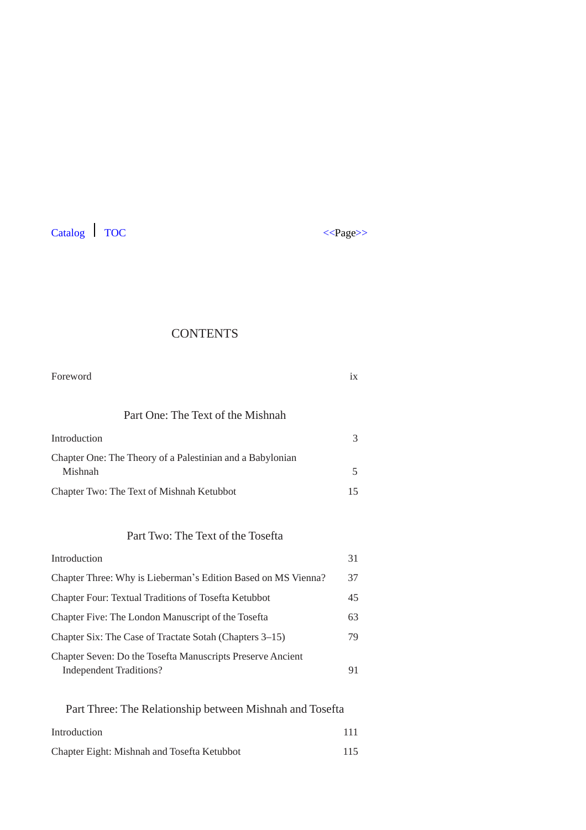



# **CONTENTS**

| Foreword                                                             | $\overline{1}X$ |
|----------------------------------------------------------------------|-----------------|
| Part One: The Text of the Mishnah                                    |                 |
| Introduction                                                         | 3               |
| Chapter One: The Theory of a Palestinian and a Babylonian<br>Mishnah | 5               |
| Chapter Two: The Text of Mishnah Ketubbot                            | 15              |
|                                                                      |                 |

# Part Two: The Text of the Tosefta

| Introduction                                                                                 | 31 |
|----------------------------------------------------------------------------------------------|----|
| Chapter Three: Why is Lieberman's Edition Based on MS Vienna?                                | 37 |
| <b>Chapter Four: Textual Traditions of Tosefta Ketubbot</b>                                  | 45 |
| Chapter Five: The London Manuscript of the Tosefta                                           | 63 |
| Chapter Six: The Case of Tractate Sotah (Chapters 3–15)                                      | 79 |
| Chapter Seven: Do the Tosefta Manuscripts Preserve Ancient<br><b>Independent Traditions?</b> | 91 |
|                                                                                              |    |

| Part Three: The Relationship between Mishnah and Tosefta |     |  |
|----------------------------------------------------------|-----|--|
| Introduction                                             | 111 |  |
| Chapter Eight: Mishnah and Tosefta Ketubbot              | 115 |  |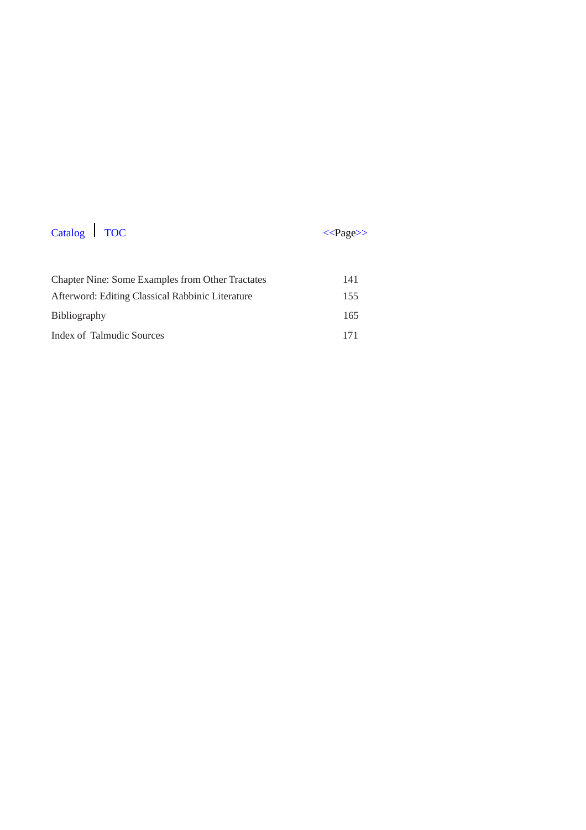

| <b>Chapter Nine: Some Examples from Other Tractates</b> | 141 |
|---------------------------------------------------------|-----|
| Afterword: Editing Classical Rabbinic Literature        | 155 |
| <b>Bibliography</b>                                     | 165 |
| Index of Talmudic Sources                               | 171 |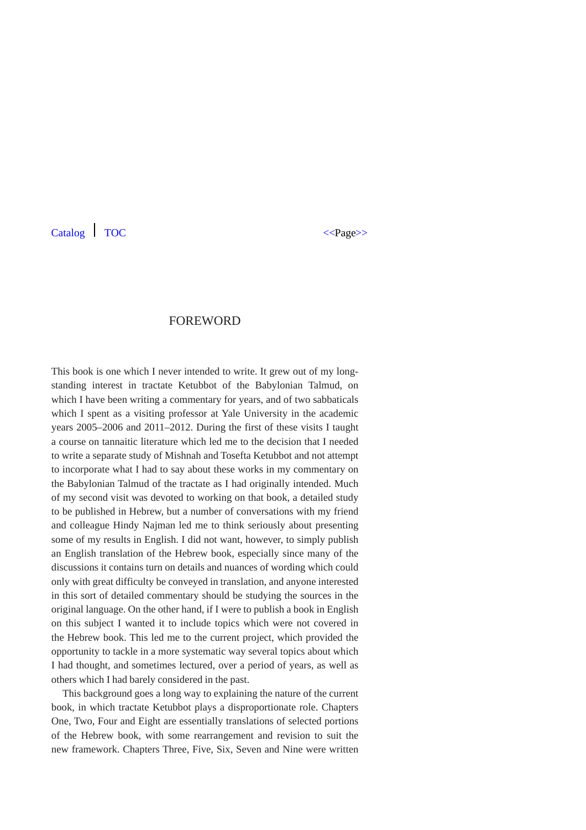### FOREWORD

This book is one which I never intended to write. It grew out of my longstanding interest in tractate Ketubbot of the Babylonian Talmud, on which I have been writing a commentary for years, and of two sabbaticals which I spent as a visiting professor at Yale University in the academic years 2005–2006 and 2011–2012. During the first of these visits I taught a course on tannaitic literature which led me to the decision that I needed to write a separate study of Mishnah and Tosefta Ketubbot and not attempt to incorporate what I had to say about these works in my commentary on the Babylonian Talmud of the tractate as I had originally intended. Much of my second visit was devoted to working on that book, a detailed study to be published in Hebrew, but a number of conversations with my friend and colleague Hindy Najman led me to think seriously about presenting some of my results in English. I did not want, however, to simply publish an English translation of the Hebrew book, especially since many of the discussions it contains turn on details and nuances of wording which could only with great difficulty be conveyed in translation, and anyone interested in this sort of detailed commentary should be studying the sources in the original language. On the other hand, if I were to publish a book in English on this subject I wanted it to include topics which were not covered in the Hebrew book. This led me to the current project, which provided the opportunity to tackle in a more systematic way several topics about which I had thought, and sometimes lectured, over a period of years, as well as others which I had barely considered in the past.

This background goes a long way to explaining the nature of the current book, in which tractate Ketubbot plays a disproportionate role. Chapters One, Two, Four and Eight are essentially translations of selected portions of the Hebrew book, with some rearrangement and revision to suit the new framework. Chapters Three, Five, Six, Seven and Nine were written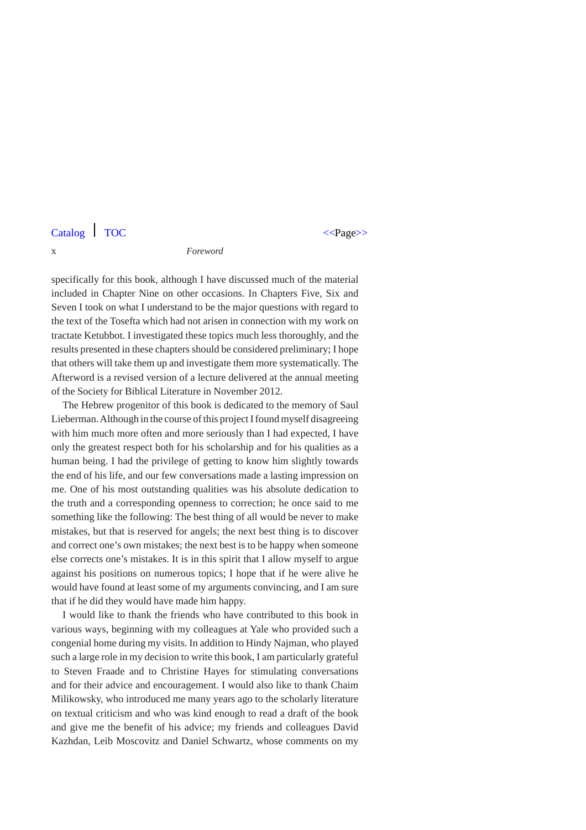#### x *Foreword*

specifically for this book, although I have discussed much of the material included in Chapter Nine on other occasions. In Chapters Five, Six and Seven I took on what I understand to be the major questions with regard to the text of the Tosefta which had not arisen in connection with my work on tractate Ketubbot. I investigated these topics much less thoroughly, and the results presented in these chapters should be considered preliminary; I hope that others will take them up and investigate them more systematically. The Afterword is a revised version of a lecture delivered at the annual meeting of the Society for Biblical Literature in November 2012.

The Hebrew progenitor of this book is dedicated to the memory of Saul Lieberman. Although in the course of this project I found myself disagreeing with him much more often and more seriously than I had expected, I have only the greatest respect both for his scholarship and for his qualities as a human being. I had the privilege of getting to know him slightly towards the end of his life, and our few conversations made a lasting impression on me. One of his most outstanding qualities was his absolute dedication to the truth and a corresponding openness to correction; he once said to me something like the following: The best thing of all would be never to make mistakes, but that is reserved for angels; the next best thing is to discover and correct one's own mistakes; the next best is to be happy when someone else corrects one's mistakes. It is in this spirit that I allow myself to argue against his positions on numerous topics; I hope that if he were alive he would have found at least some of my arguments convincing, and I am sure that if he did they would have made him happy.

I would like to thank the friends who have contributed to this book in various ways, beginning with my colleagues at Yale who provided such a congenial home during my visits. In addition to Hindy Najman, who played such a large role in my decision to write this book, I am particularly grateful to Steven Fraade and to Christine Hayes for stimulating conversations and for their advice and encouragement. I would also like to thank Chaim Milikowsky, who introduced me many years ago to the scholarly literature on textual criticism and who was kind enough to read a draft of the book and give me the benefit of his advice; my friends and colleagues David Kazhdan, Leib Moscovitz and Daniel Schwartz, whose comments on my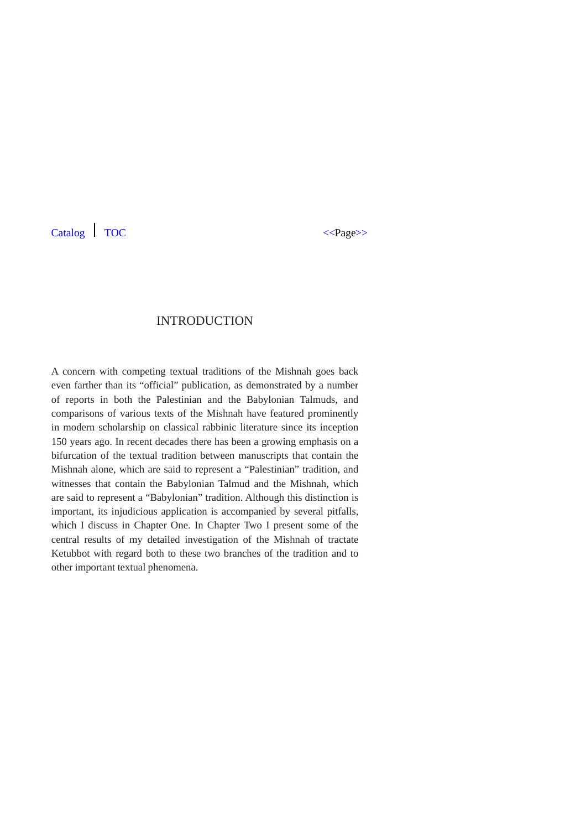## INTRODUCTION

A concern with competing textual traditions of the Mishnah goes back even farther than its "official" publication, as demonstrated by a number of reports in both the Palestinian and the Babylonian Talmuds, and comparisons of various texts of the Mishnah have featured prominently in modern scholarship on classical rabbinic literature since its inception 150 years ago. In recent decades there has been a growing emphasis on a bifurcation of the textual tradition between manuscripts that contain the Mishnah alone, which are said to represent a "Palestinian" tradition, and witnesses that contain the Babylonian Talmud and the Mishnah, which are said to represent a "Babylonian" tradition. Although this distinction is important, its injudicious application is accompanied by several pitfalls, which I discuss in Chapter One. In Chapter Two I present some of the central results of my detailed investigation of the Mishnah of tractate Ketubbot with regard both to these two branches of the tradition and to other important textual phenomena.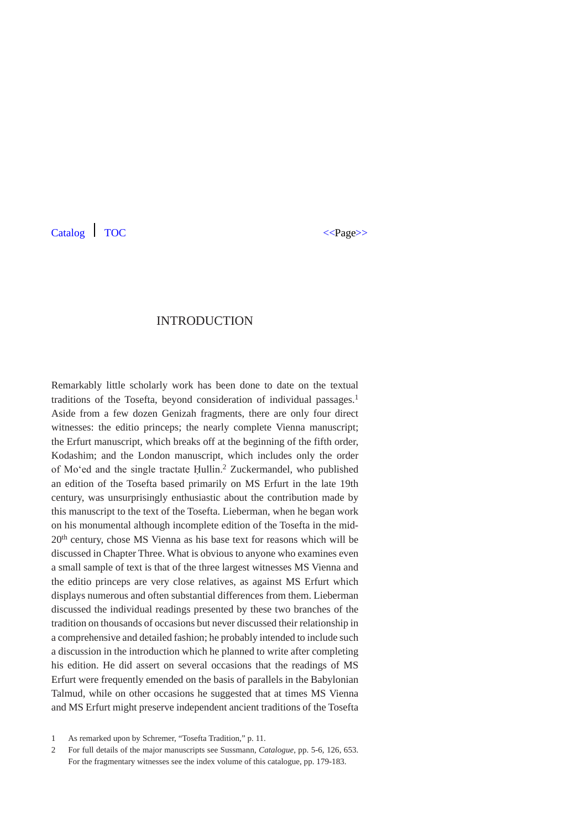## INTRODUCTION

Remarkably little scholarly work has been done to date on the textual traditions of the Tosefta, beyond consideration of individual passages.<sup>1</sup> Aside from a few dozen Genizah fragments, there are only four direct witnesses: the editio princeps; the nearly complete Vienna manuscript; the Erfurt manuscript, which breaks off at the beginning of the fifth order, Kodashim; and the London manuscript, which includes only the order of Mo'ed and the single tractate Ḥullin.2 Zuckermandel, who published an edition of the Tosefta based primarily on MS Erfurt in the late 19th century, was unsurprisingly enthusiastic about the contribution made by this manuscript to the text of the Tosefta. Lieberman, when he began work on his monumental although incomplete edition of the Tosefta in the mid-20th century, chose MS Vienna as his base text for reasons which will be discussed in Chapter Three. What is obvious to anyone who examines even a small sample of text is that of the three largest witnesses MS Vienna and the editio princeps are very close relatives, as against MS Erfurt which displays numerous and often substantial differences from them. Lieberman discussed the individual readings presented by these two branches of the tradition on thousands of occasions but never discussed their relationship in a comprehensive and detailed fashion; he probably intended to include such a discussion in the introduction which he planned to write after completing his edition. He did assert on several occasions that the readings of MS Erfurt were frequently emended on the basis of parallels in the Babylonian Talmud, while on other occasions he suggested that at times MS Vienna and MS Erfurt might preserve independent ancient traditions of the Tosefta

<sup>1</sup> As remarked upon by Schremer, "Tosefta Tradition," p. 11.

<sup>2</sup> For full details of the major manuscripts see Sussmann, *Catalogue*, pp. 5-6, 126, 653. For the fragmentary witnesses see the index volume of this catalogue, pp. 179-183.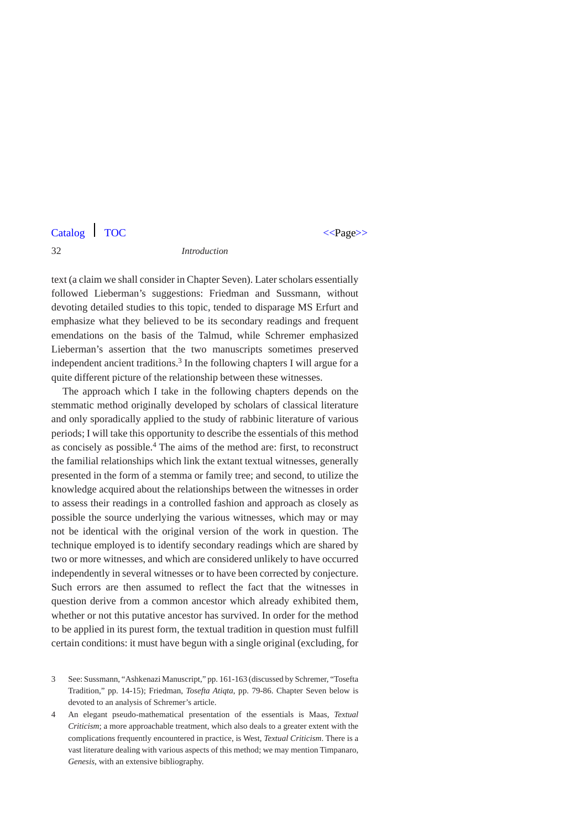#### 32 *Introduction*

text (a claim we shall consider in Chapter Seven). Later scholars essentially followed Lieberman's suggestions: Friedman and Sussmann, without devoting detailed studies to this topic, tended to disparage MS Erfurt and emphasize what they believed to be its secondary readings and frequent emendations on the basis of the Talmud, while Schremer emphasized Lieberman's assertion that the two manuscripts sometimes preserved independent ancient traditions.<sup>3</sup> In the following chapters I will argue for a quite different picture of the relationship between these witnesses.

The approach which I take in the following chapters depends on the stemmatic method originally developed by scholars of classical literature and only sporadically applied to the study of rabbinic literature of various periods; I will take this opportunity to describe the essentials of this method as concisely as possible.4 The aims of the method are: first, to reconstruct the familial relationships which link the extant textual witnesses, generally presented in the form of a stemma or family tree; and second, to utilize the knowledge acquired about the relationships between the witnesses in order to assess their readings in a controlled fashion and approach as closely as possible the source underlying the various witnesses, which may or may not be identical with the original version of the work in question. The technique employed is to identify secondary readings which are shared by two or more witnesses, and which are considered unlikely to have occurred independently in several witnesses or to have been corrected by conjecture. Such errors are then assumed to reflect the fact that the witnesses in question derive from a common ancestor which already exhibited them, whether or not this putative ancestor has survived. In order for the method to be applied in its purest form, the textual tradition in question must fulfill certain conditions: it must have begun with a single original (excluding, for

- 3 See: Sussmann, "Ashkenazi Manuscript," pp. 161-163 (discussed by Schremer, "Tosefta Tradition," pp. 14-15); Friedman, *Tosefta Atiqta*, pp. 79-86. Chapter Seven below is devoted to an analysis of Schremer's article.
- 4 An elegant pseudo-mathematical presentation of the essentials is Maas, *Textual Criticism*; a more approachable treatment, which also deals to a greater extent with the complications frequently encountered in practice, is West, *Textual Criticism*. There is a vast literature dealing with various aspects of this method; we may mention Timpanaro, *Genesis*, with an extensive bibliography.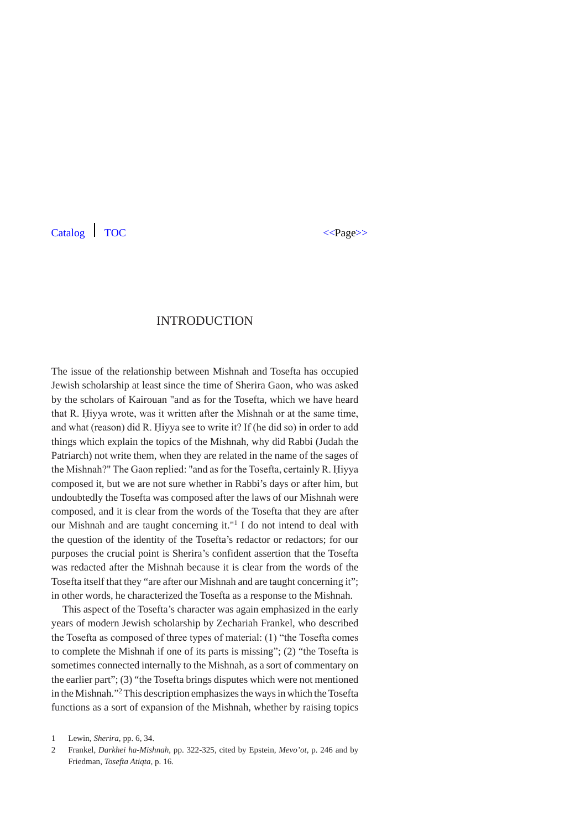## INTRODUCTION

The issue of the relationship between Mishnah and Tosefta has occupied Jewish scholarship at least since the time of Sherira Gaon, who was asked by the scholars of Kairouan "and as for the Tosefta, which we have heard that R. Ḥiyya wrote, was it written after the Mishnah or at the same time, and what (reason) did R. Ḥiyya see to write it? If (he did so) in order to add things which explain the topics of the Mishnah, why did Rabbi (Judah the Patriarch) not write them, when they are related in the name of the sages of the Mishnah?" The Gaon replied: "and as for the Tosefta, certainly R. Ḥiyya composed it, but we are not sure whether in Rabbi's days or after him, but undoubtedly the Tosefta was composed after the laws of our Mishnah were composed, and it is clear from the words of the Tosefta that they are after our Mishnah and are taught concerning it."1 I do not intend to deal with the question of the identity of the Tosefta's redactor or redactors; for our purposes the crucial point is Sherira's confident assertion that the Tosefta was redacted after the Mishnah because it is clear from the words of the Tosefta itself that they "are after our Mishnah and are taught concerning it"; in other words, he characterized the Tosefta as a response to the Mishnah.

This aspect of the Tosefta's character was again emphasized in the early years of modern Jewish scholarship by Zechariah Frankel, who described the Tosefta as composed of three types of material: (1) "the Tosefta comes to complete the Mishnah if one of its parts is missing"; (2) "the Tosefta is sometimes connected internally to the Mishnah, as a sort of commentary on the earlier part"; (3) "the Tosefta brings disputes which were not mentioned in the Mishnah."2 This description emphasizes the ways in which the Tosefta functions as a sort of expansion of the Mishnah, whether by raising topics

<sup>1</sup> Lewin, *Sherira*, pp. 6, 34.

<sup>2</sup> Frankel, *Darkhei ha-Mishnah*, pp. 322-325, cited by Epstein, *Mevo'ot*, p. 246 and by Friedman, *Tosefta Atiqta*, p. 16.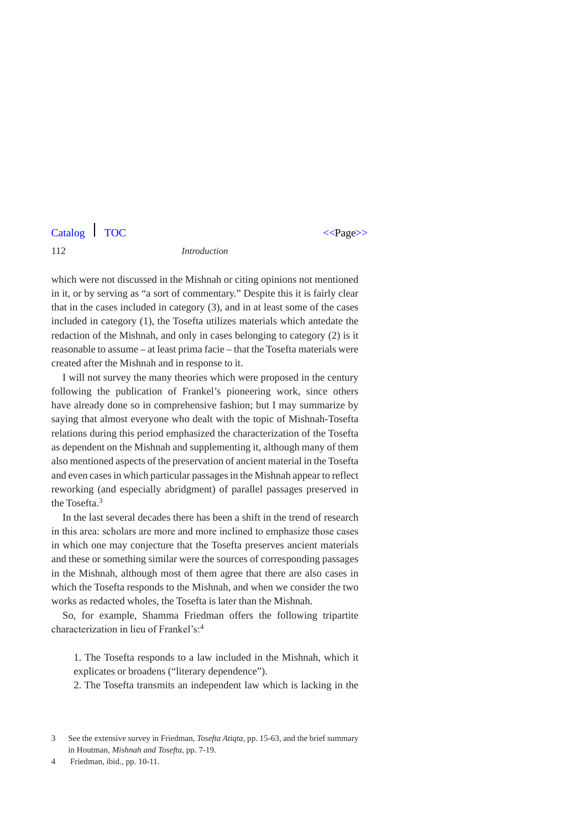#### 112 *Introduction*

which were not discussed in the Mishnah or citing opinions not mentioned in it, or by serving as "a sort of commentary." Despite this it is fairly clear that in the cases included in category (3), and in at least some of the cases included in category (1), the Tosefta utilizes materials which antedate the redaction of the Mishnah, and only in cases belonging to category (2) is it reasonable to assume – at least prima facie – that the Tosefta materials were created after the Mishnah and in response to it.

I will not survey the many theories which were proposed in the century following the publication of Frankel's pioneering work, since others have already done so in comprehensive fashion; but I may summarize by saying that almost everyone who dealt with the topic of Mishnah-Tosefta relations during this period emphasized the characterization of the Tosefta as dependent on the Mishnah and supplementing it, although many of them also mentioned aspects of the preservation of ancient material in the Tosefta and even cases in which particular passages in the Mishnah appear to reflect reworking (and especially abridgment) of parallel passages preserved in the Tosefta<sup>3</sup>

In the last several decades there has been a shift in the trend of research in this area: scholars are more and more inclined to emphasize those cases in which one may conjecture that the Tosefta preserves ancient materials and these or something similar were the sources of corresponding passages in the Mishnah, although most of them agree that there are also cases in which the Tosefta responds to the Mishnah, and when we consider the two works as redacted wholes, the Tosefta is later than the Mishnah.

So, for example, Shamma Friedman offers the following tripartite characterization in lieu of Frankel's:<sup>4</sup>

1. The Tosefta responds to a law included in the Mishnah, which it explicates or broadens ("literary dependence").

2. The Tosefta transmits an independent law which is lacking in the

<sup>3</sup> See the extensive survey in Friedman, *Tosefta Atiqta*, pp. 15-63, and the brief summary in Houtman, *Mishnah and Tosefta*, pp. 7-19.

<sup>4</sup> Friedman, ibid., pp. 10-11.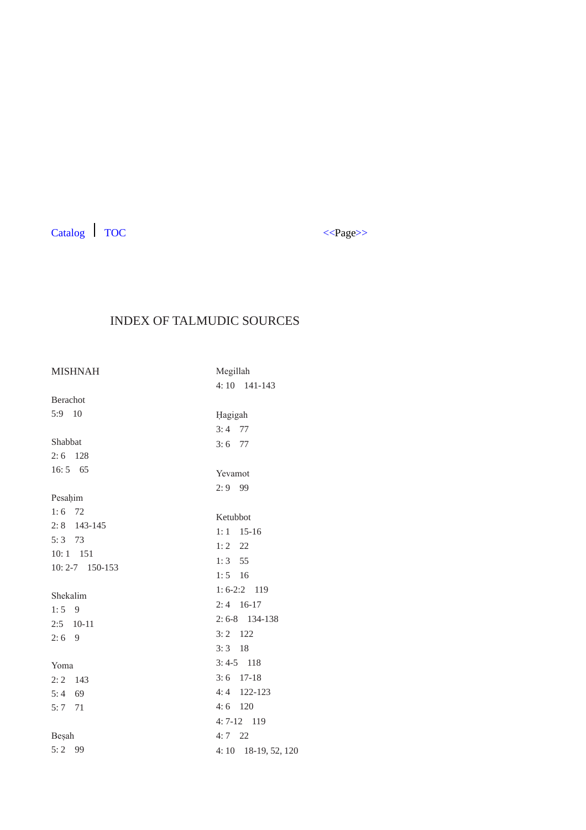

# INDEX OF TALMUDIC SOURCES

| <b>MISHNAH</b>      | Megillah             |  |
|---------------------|----------------------|--|
|                     | 4:10 141-143         |  |
| Berachot            |                      |  |
| 5:9 10              | Hagigah              |  |
|                     | $3:4$ 77             |  |
| Shabbat             | $3:6$ 77             |  |
| $2:6$ 128           |                      |  |
| $16:5$ 65           | Yevamot              |  |
|                     | $2:9$ 99             |  |
| Pesahim             |                      |  |
| $1:6$ 72            | Ketubbot             |  |
| $2:8$ 143-145       | $1:1$ 15-16          |  |
| $5:3$ 73            | $1:2$ 22             |  |
| $10:1$ 151          | $1:3$ 55             |  |
| $10: 2 - 7$ 150-153 | $1:5$ 16             |  |
| Shekalim            | $1: 6-2:2$ 119       |  |
| $1:5$ 9             | $2:4$ 16-17          |  |
| $2:5$ 10-11         | $2:6-8$ 134-138      |  |
| $2:6$ 9             | $3:2$ 122            |  |
|                     | $3:3$ 18             |  |
| Yoma                | $3:4-5$ 118          |  |
| $2:2$ 143           | $3:6$ 17-18          |  |
| $5:4$ 69            | $4:4$ 122-123        |  |
| $5:7$ 71            | $4:6$ 120            |  |
|                     | $4:7-12$ 119         |  |
| Besah               | $4:7$ 22             |  |
| $5:2$ 99            | 4: 10 18-19, 52, 120 |  |